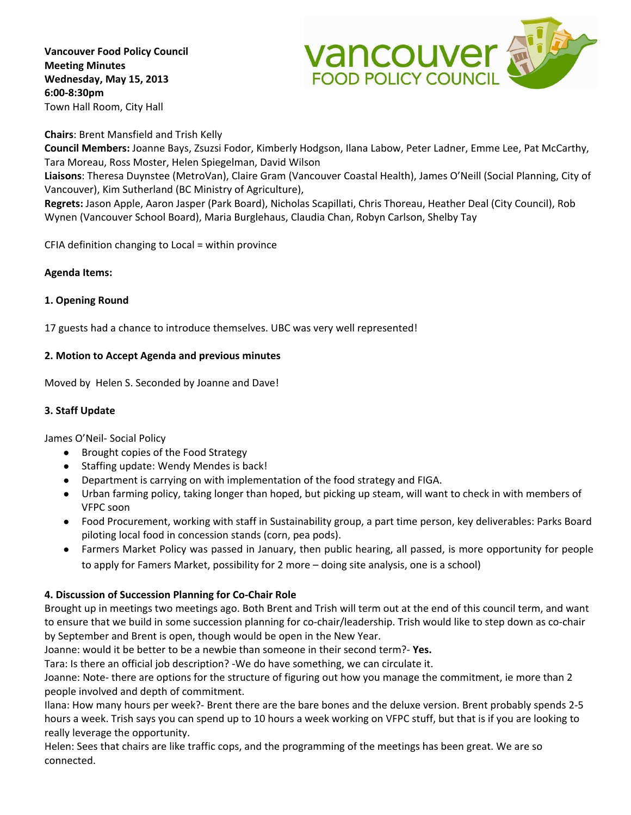**Vancouver Food Policy Council Meeting Minutes Wednesday, May 15, 2013 6:00‐8:30pm** Town Hall Room, City Hall



#### **Chairs**: Brent Mansfield and Trish Kelly

**Council Members:** Joanne Bays, Zsuzsi Fodor, Kimberly Hodgson, Ilana Labow, Peter Ladner, Emme Lee, Pat McCarthy, Tara Moreau, Ross Moster, Helen Spiegelman, David Wilson

**Liaisons**: Theresa Duynstee (MetroVan), Claire Gram (Vancouver Coastal Health), James O'Neill (Social Planning, City of Vancouver), Kim Sutherland (BC Ministry of Agriculture),

**Regrets:** Jason Apple, Aaron Jasper (Park Board), Nicholas Scapillati, Chris Thoreau, Heather Deal (City Council), Rob Wynen (Vancouver School Board), Maria Burglehaus, Claudia Chan, Robyn Carlson, Shelby Tay

CFIA definition changing to Local = within province

#### **Agenda Items:**

### **1. Opening Round**

17 guests had a chance to introduce themselves. UBC was very well represented!

### **2. Motion to Accept Agenda and previous minutes**

Moved by Helen S. Seconded by Joanne and Dave!

### **3. Staff Update**

James O'Neil‐ Social Policy

- Brought copies of the Food Strategy
- Staffing update: Wendy Mendes is back!
- Department is carrying on with implementation of the food strategy and FIGA.
- Urban farming policy, taking longer than hoped, but picking up steam, will want to check in with members of VFPC soon
- Food Procurement, working with staff in Sustainability group, a part time person, key deliverables: Parks Board piloting local food in concession stands (corn, pea pods).
- Farmers Market Policy was passed in January, then public hearing, all passed, is more opportunity for people to apply for Famers Market, possibility for 2 more – doing site analysis, one is a school)

### **4. Discussion of Succession Planning for Co‐Chair Role**

Brought up in meetings two meetings ago. Both Brent and Trish will term out at the end of this council term, and want to ensure that we build in some succession planning for co-chair/leadership. Trish would like to step down as co-chair by September and Brent is open, though would be open in the New Year.

Joanne: would it be better to be a newbie than someone in their second term?‐ **Yes.**

Tara: Is there an official job description? ‐We do have something, we can circulate it.

Joanne: Note‐ there are options for the structure of figuring out how you manage the commitment, ie more than 2 people involved and depth of commitment.

Ilana: How many hours per week?‐ Brent there are the bare bones and the deluxe version. Brent probably spends 2‐5 hours a week. Trish says you can spend up to 10 hours a week working on VFPC stuff, but that is if you are looking to really leverage the opportunity.

Helen: Sees that chairs are like traffic cops, and the programming of the meetings has been great. We are so connected.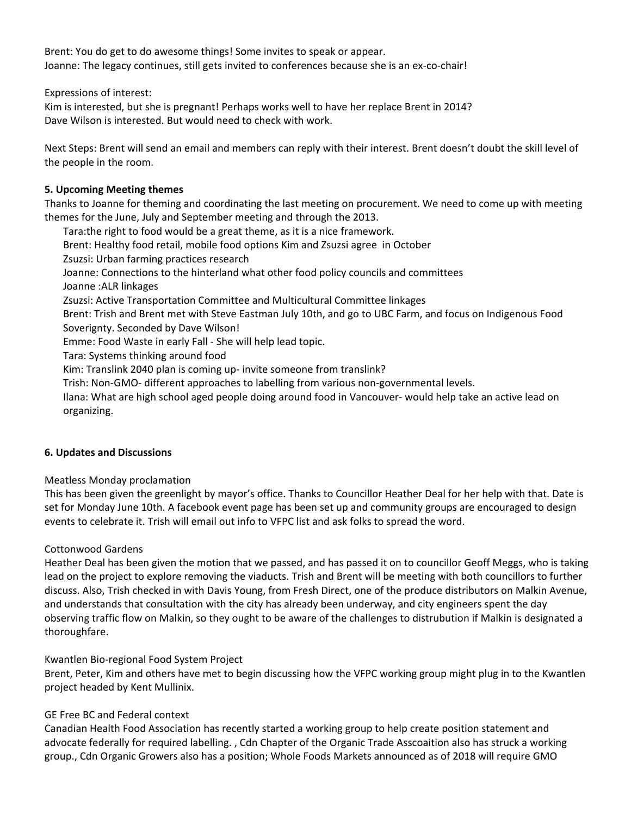Brent: You do get to do awesome things! Some invites to speak or appear. Joanne: The legacy continues, still gets invited to conferences because she is an ex-co-chair!

Expressions of interest:

Kim is interested, but she is pregnant! Perhaps works well to have her replace Brent in 2014? Dave Wilson is interested. But would need to check with work.

Next Steps: Brent will send an email and members can reply with their interest. Brent doesn't doubt the skill level of the people in the room.

# **5. Upcoming Meeting themes**

Thanks to Joanne for theming and coordinating the last meeting on procurement. We need to come up with meeting themes for the June, July and September meeting and through the 2013.

Tara:the right to food would be a great theme, as it is a nice framework. Brent: Healthy food retail, mobile food options Kim and Zsuzsi agree in October Zsuzsi: Urban farming practices research Joanne: Connections to the hinterland what other food policy councils and committees Joanne :ALR linkages Zsuzsi: Active Transportation Committee and Multicultural Committee linkages Brent: Trish and Brent met with Steve Eastman July 10th, and go to UBC Farm, and focus on Indigenous Food Soverignty. Seconded by Dave Wilson! Emme: Food Waste in early Fall ‐ She will help lead topic. Tara: Systems thinking around food Kim: Translink 2040 plan is coming up‐ invite someone from translink? Trish: Non‐GMO‐ different approaches to labelling from various non‐governmental levels. Ilana: What are high school aged people doing around food in Vancouver‐ would help take an active lead on

### **6. Updates and Discussions**

organizing.

Meatless Monday proclamation

This has been given the greenlight by mayor's office. Thanks to Councillor Heather Deal for her help with that. Date is set for Monday June 10th. A facebook event page has been set up and community groups are encouraged to design events to celebrate it. Trish will email out info to VFPC list and ask folks to spread the word.

### Cottonwood Gardens

Heather Deal has been given the motion that we passed, and has passed it on to councillor Geoff Meggs, who is taking lead on the project to explore removing the viaducts. Trish and Brent will be meeting with both councillors to further discuss. Also, Trish checked in with Davis Young, from Fresh Direct, one of the produce distributors on Malkin Avenue, and understands that consultation with the city has already been underway, and city engineers spent the day observing traffic flow on Malkin, so they ought to be aware of the challenges to distrubution if Malkin is designated a thoroughfare.

### Kwantlen Bio‐regional Food System Project

Brent, Peter, Kim and others have met to begin discussing how the VFPC working group might plug in to the Kwantlen project headed by Kent Mullinix.

### GE Free BC and Federal context

Canadian Health Food Association has recently started a working group to help create position statement and advocate federally for required labelling. , Cdn Chapter of the Organic Trade Asscoaition also has struck a working group., Cdn Organic Growers also has a position; Whole Foods Markets announced as of 2018 will require GMO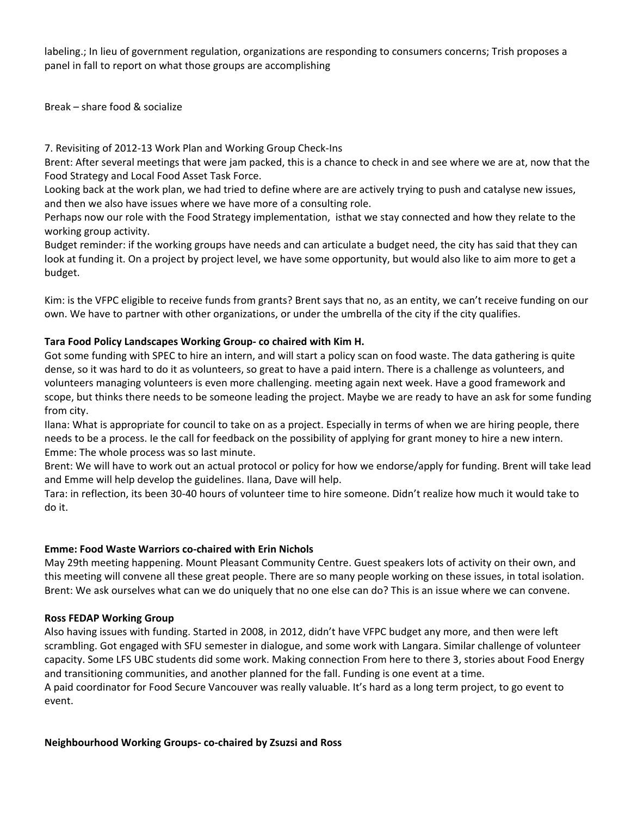labeling.; In lieu of government regulation, organizations are responding to consumers concerns; Trish proposes a panel in fall to report on what those groups are accomplishing

Break – share food & socialize

7. Revisiting of 2012‐13 Work Plan and Working Group Check‐Ins

Brent: After several meetings that were jam packed, this is a chance to check in and see where we are at, now that the Food Strategy and Local Food Asset Task Force.

Looking back at the work plan, we had tried to define where are are actively trying to push and catalyse new issues, and then we also have issues where we have more of a consulting role.

Perhaps now our role with the Food Strategy implementation, isthat we stay connected and how they relate to the working group activity.

Budget reminder: if the working groups have needs and can articulate a budget need, the city has said that they can look at funding it. On a project by project level, we have some opportunity, but would also like to aim more to get a budget.

Kim: is the VFPC eligible to receive funds from grants? Brent says that no, as an entity, we can't receive funding on our own. We have to partner with other organizations, or under the umbrella of the city if the city qualifies.

## **Tara Food Policy Landscapes Working Group‐ co chaired with Kim H.**

Got some funding with SPEC to hire an intern, and will start a policy scan on food waste. The data gathering is quite dense, so it was hard to do it as volunteers, so great to have a paid intern. There is a challenge as volunteers, and volunteers managing volunteers is even more challenging. meeting again next week. Have a good framework and scope, but thinks there needs to be someone leading the project. Maybe we are ready to have an ask for some funding from city.

Ilana: What is appropriate for council to take on as a project. Especially in terms of when we are hiring people, there needs to be a process. Ie the call for feedback on the possibility of applying for grant money to hire a new intern. Emme: The whole process was so last minute.

Brent: We will have to work out an actual protocol or policy for how we endorse/apply for funding. Brent will take lead and Emme will help develop the guidelines. Ilana, Dave will help.

Tara: in reflection, its been 30‐40 hours of volunteer time to hire someone. Didn't realize how much it would take to do it.

### **Emme: Food Waste Warriors co‐chaired with Erin Nichols**

May 29th meeting happening. Mount Pleasant Community Centre. Guest speakers lots of activity on their own, and this meeting will convene all these great people. There are so many people working on these issues, in total isolation. Brent: We ask ourselves what can we do uniquely that no one else can do? This is an issue where we can convene.

### **Ross FEDAP Working Group**

Also having issues with funding. Started in 2008, in 2012, didn't have VFPC budget any more, and then were left scrambling. Got engaged with SFU semester in dialogue, and some work with Langara. Similar challenge of volunteer capacity. Some LFS UBC students did some work. Making connection From here to there 3, stories about Food Energy and transitioning communities, and another planned for the fall. Funding is one event at a time. A paid coordinator for Food Secure Vancouver was really valuable. It's hard as a long term project, to go event to event.

**Neighbourhood Working Groups‐ co‐chaired by Zsuzsi and Ross**